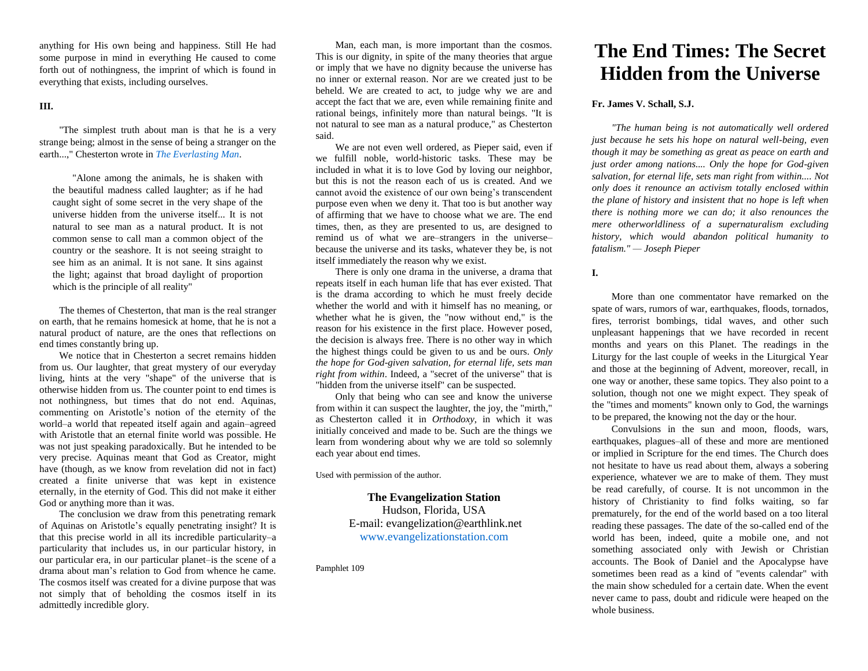anything for His own being and happiness. Still He had some purpose in mind in everything He caused to come forth out of nothingness, the imprint of which is found in everything that exists, including ourselves.

## **III.**

"The simplest truth about man is that he is a very strange being; almost in the sense of being a stranger on the earth...," Chesterton wrote in *[The Everlasting Man](http://www.ignatius.com/ViewProduct.aspx?SID=1&Product_ID=592&AFID=12&)*.

"Alone among the animals, he is shaken with the beautiful madness called laughter; as if he had caught sight of some secret in the very shape of the universe hidden from the universe itself... It is not natural to see man as a natural product. It is not common sense to call man a common object of the country or the seashore. It is not seeing straight to see him as an animal. It is not sane. It sins against the light; against that broad daylight of proportion which is the principle of all reality"

The themes of Chesterton, that man is the real stranger on earth, that he remains homesick at home, that he is not a natural product of nature, are the ones that reflections on end times constantly bring up.

We notice that in Chesterton a secret remains hidden from us. Our laughter, that great mystery of our everyday living, hints at the very "shape" of the universe that is otherwise hidden from us. The counter point to end times is not nothingness, but times that do not end. Aquinas, commenting on Aristotle's notion of the eternity of the world–a world that repeated itself again and again–agreed with Aristotle that an eternal finite world was possible. He was not just speaking paradoxically. But he intended to be very precise. Aquinas meant that God as Creator, might have (though, as we know from revelation did not in fact) created a finite universe that was kept in existence eternally, in the eternity of God. This did not make it either God or anything more than it was.

The conclusion we draw from this penetrating remark of Aquinas on Aristotle's equally penetrating insight? It is that this precise world in all its incredible particularity–a particularity that includes us, in our particular history, in our particular era, in our particular planet–is the scene of a drama about man's relation to God from whence he came. The cosmos itself was created for a divine purpose that was not simply that of beholding the cosmos itself in its admittedly incredible glory.

Man, each man, is more important than the cosmos. This is our dignity, in spite of the many theories that argue or imply that we have no dignity because the universe has no inner or external reason. Nor are we created just to be beheld. We are created to act, to judge why we are and accept the fact that we are, even while remaining finite and rational beings, infinitely more than natural beings. "It is not natural to see man as a natural produce," as Chesterton said.

We are not even well ordered, as Pieper said, even if we fulfill noble, world-historic tasks. These may be included in what it is to love God by loving our neighbor, but this is not the reason each of us is created. And we cannot avoid the existence of our own being's transcendent purpose even when we deny it. That too is but another way of affirming that we have to choose what we are. The end times, then, as they are presented to us, are designed to remind us of what we are–strangers in the universe– because the universe and its tasks, whatever they be, is not itself immediately the reason why we exist.

There is only one drama in the universe, a drama that repeats itself in each human life that has ever existed. That is the drama according to which he must freely decide whether the world and with it himself has no meaning, or whether what he is given, the "now without end," is the reason for his existence in the first place. However posed, the decision is always free. There is no other way in which the highest things could be given to us and be ours. *Only the hope for God-given salvation, for eternal life, sets man right from within*. Indeed, a "secret of the universe" that is "hidden from the universe itself" can be suspected.

Only that being who can see and know the universe from within it can suspect the laughter, the joy, the "mirth," as Chesterton called it in *Orthodoxy*, in which it was initially conceived and made to be. Such are the things we learn from wondering about why we are told so solemnly each year about end times.

Used with permission of the author.

**The Evangelization Station** Hudson, Florida, USA E-mail: evangelization@earthlink.net [www.evangelizationstation.com](http://www.pjpiisoe.org/)

Pamphlet 109

# **The End Times: The Secret Hidden from the Universe**

# **Fr. James V. Schall, S.J.**

*"The human being is not automatically well ordered just because he sets his hope on natural well-being, even though it may be something as great as peace on earth and just order among nations.... Only the hope for God-given salvation, for eternal life, sets man right from within.... Not only does it renounce an activism totally enclosed within the plane of history and insistent that no hope is left when there is nothing more we can do; it also renounces the mere otherworldliness of a supernaturalism excluding history, which would abandon political humanity to fatalism." — [Joseph Pieper](http://www.ignatiusinsight.com/authors/josefpieper.asp)*

#### **I.**

More than one commentator have remarked on the spate of wars, rumors of war, earthquakes, floods, tornados, fires, terrorist bombings, tidal waves, and other such unpleasant happenings that we have recorded in recent months and years on this Planet. The readings in the Liturgy for the last couple of weeks in the Liturgical Year and those at the beginning of Advent, moreover, recall, in one way or another, these same topics. They also point to a solution, though not one we might expect. They speak of the "times and moments" known only to God, the warnings to be prepared, the knowing not the day or the hour.

Convulsions in the sun and moon, floods, wars, earthquakes, plagues–all of these and more are mentioned or implied in Scripture for the end times. The Church does not hesitate to have us read about them, always a sobering experience, whatever we are to make of them. They must be read carefully, of course. It is not uncommon in the history of Christianity to find folks waiting, so far prematurely, for the end of the world based on a too literal reading these passages. The date of the so-called end of the world has been, indeed, quite a mobile one, and not something associated only with Jewish or Christian accounts. The Book of Daniel and the Apocalypse have sometimes been read as a kind of "events calendar" with the main show scheduled for a certain date. When the event never came to pass, doubt and ridicule were heaped on the whole business.